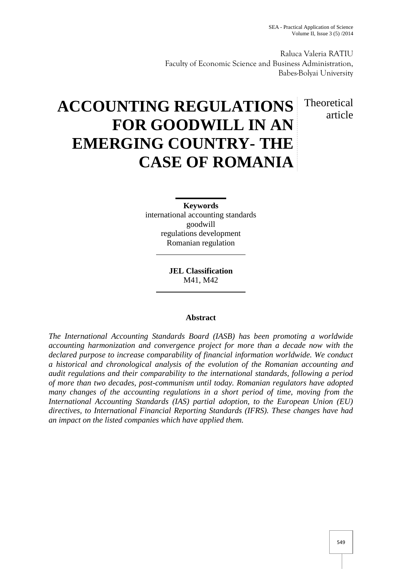Raluca Valeria RATIU Faculty of Economic Science and Business Administration, Babes-Bolyai University

> Theoretical article

# **ACCOUNTING REGULATIONS FOR GOODWILL IN AN EMERGING COUNTRY- THE CASE OF ROMANIA**

**Keywords** international accounting standards goodwill regulations development Romanian regulation

> **JEL Classification** M41, M42

# **Abstract**

*The International Accounting Standards Board (IASB) has been promoting a worldwide accounting harmonization and convergence project for more than a decade now with the declared purpose to increase comparability of financial information worldwide. We conduct a historical and chronological analysis of the evolution of the Romanian accounting and audit regulations and their comparability to the international standards, following a period of more than two decades, post-communism until today. Romanian regulators have adopted many changes of the accounting regulations in a short period of time, moving from the International Accounting Standards (IAS) partial adoption, to the European Union (EU) directives, to International Financial Reporting Standards (IFRS). These changes have had an impact on the listed companies which have applied them.*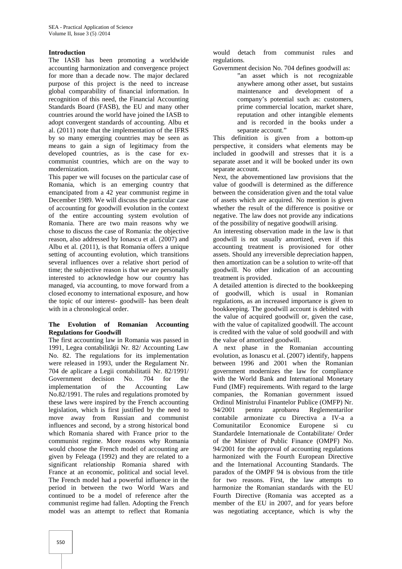## **Introduction**

The IASB has been promoting a worldwide accounting harmonization and convergence project for more than a decade now. The major declared purpose of this project is the need to increase global comparability of financial information. In recognition of this need, the Financial Accounting Standards Board (FASB), the EU and many other countries around the world have joined the IASB to adopt convergent standards of accounting. Albu et al. (2011) note that the implementation of the IFRS by so many emerging countries may be seen as means to gain a sign of legitimacy from the developed countries, as is the case for ex communist countries, which are on the way to modernization.

This paper we will focuses on the particular case of Romania, which is an emerging country that emancipated from a 42 year communist regime in December 1989. We will discuss the particular case of accounting for goodwill evolution in the context of the entire accounting system evolution of Romania. There are two main reasons why we chose to discuss the case of Romania: the objective reason, also addressed by Ionascu et al. (2007) and Albu et al. (2011), is that Romania offers a unique setting of accounting evolution, which transitions several influences over a relative short period of time; the subjective reason is that we are personally interested to acknowledge how our country has managed, via accounting, to move forward from a closed economy to international exposure, and how the topic of our interest- goodwill- has been dealt with in a chronological order.

## **The Evolution of Romanian Accounting Regulations for Goodwill**

The first accounting law in Romania was passed in 1991, Legea contabilit ii Nr. 82/ Accounting Law No. 82. The regulations for its implementation were released in 1993, under the Regulament Nr. 704 de aplicare a Legii contabilitatii Nr. 82/1991/ Government decision No. 704 for the implementation of the Accounting Law No.82/1991. The rules and regulations promoted by these laws were inspired by the French accounting legislation, which is first justified by the need to move away from Russian and communist influences and second, by a strong historical bond which Romania shared with France prior to the communist regime. More reasons why Romania would choose the French model of accounting are given by Feleaga (1992) and they are related to a significant relationship Romania shared with France at an economic, political and social level. The French model had a powerful influence in the period in between the two World Wars and continued to be a model of reference after the communist regime had fallen. Adopting the French model was an attempt to reflect that Romania

would detach from communist rules and regulations.

Government decision No. 704 defines goodwill as:

"an asset which is not recognizable anywhere among other asset, but sustains maintenance and development of a company's potential such as: customers, prime commercial location, market share, reputation and other intangible elements and is recorded in the books under a separate account."

This definition is given from a bottom-up perspective, it considers what elements may be included in goodwill and stresses that it is a separate asset and it will be booked under its own separate account.

Next, the abovementioned law provisions that the value of goodwill is determined as the difference between the consideration given and the total value of assets which are acquired. No mention is given whether the result of the difference is positive or negative. The law does not provide any indications of the possibility of negative goodwill arising.

An interesting observation made in the law is that goodwill is not usually amortized, even if this accounting treatment is provisioned for other assets. Should any irreversible depreciation happen, then amortization can be a solution to write-off that goodwill. No other indication of an accounting treatment is provided.

A detailed attention is directed to the bookkeeping goodwill, which is usual in Romanian regulations, as an increased importance is given to bookkeeping. The goodwill account is debited with the value of acquired goodwill or, given the case, with the value of capitalized goodwill. The account is credited with the value of sold goodwill and with the value of amortized goodwill.

A next phase in the Romanian accounting evolution, as Ionascu et al. (2007) identify, happens between 1996 and 2001 when the Romanian government modernizes the law for compliance with the World Bank and International Monetary Fund (IMF) requirements. With regard to the large companies, the Romanian government issued Ordinul Ministrului Finantelor Publice (OMFP) Nr. 94/2001 pentru aprobarea Reglementarilor contabile armonizate cu Directiva a IV-a a Economice Europene si cu Standardele Internationale de Contabilitate/ Order of the Minister of Public Finance (OMPF) No. 94/2001 for the approval of accounting regulations harmonized with the Fourth European Directive and the International Accounting Standards. The paradox of the OMPF 94 is obvious from the title for two reasons. First, the law attempts to harmonize the Romanian standards with the EU Fourth Directive (Romania was accepted as a member of the EU in 2007, and for years before was negotiating acceptance, which is why the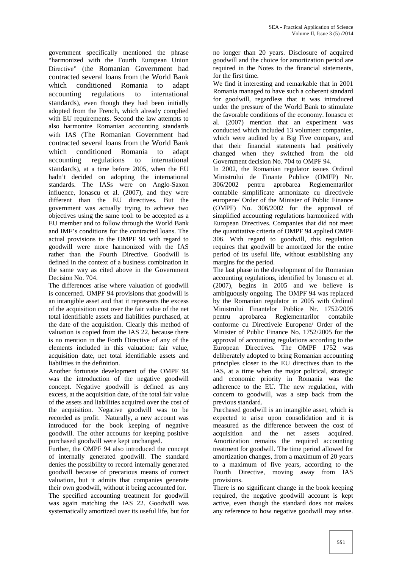government specifically mentioned the phrase "harmonized with the Fourth European Union Directive" (the Romanian Government had contracted several loans from the World Bank which conditioned Romania to adapt accounting regulations to international standards), even though they had been initially adopted from the French, which already complied with EU requirements. Second the law attempts to also harmonize Romanian accounting standards with IAS (The Romanian Government had contracted several loans from the World Bank which conditioned Romania to adapt accounting regulations to international standards), at a time before 2005, when the EU hadn't decided on adopting the international standards. The IASs were on Anglo-Saxon influence, Ionascu et al. (2007), and they were different than the EU directives. But the government was actually trying to achieve two objectives using the same tool: to be accepted as a EU member and to follow through the World Bank and IMF's conditions for the contracted loans. The actual provisions in the OMPF 94 with regard to goodwill were more harmonized with the IAS rather than the Fourth Directive. Goodwill is defined in the context of a business combination in the same way as cited above in the Government Decision No. 704.

The differences arise where valuation of goodwill is concerned. OMPF 94 provisions that goodwill is an intangible asset and that it represents the excess of the acquisition cost over the fair value of the net total identifiable assets and liabilities purchased, at the date of the acquisition. Clearly this method of valuation is copied from the IAS 22, because there is no mention in the Forth Directive of any of the elements included in this valuation: fair value, acquisition date, net total identifiable assets and liabilities in the definition.

Another fortunate development of the OMPF 94 was the introduction of the negative goodwill concept. Negative goodwill is defined as any excess, at the acquisition date, of the total fair value of the assets and liabilities acquired over the cost of the acquisition. Negative goodwill was to be recorded as profit. Naturally, a new account was introduced for the book keeping of negative goodwill. The other accounts for keeping positive purchased goodwill were kept unchanged.

Further, the OMPF 94 also introduced the concept of internally generated goodwill. The standard denies the possibility to record internally generated goodwill because of precarious means of correct valuation, but it admits that companies generate their own goodwill, without it being accounted for.

The specified accounting treatment for goodwill was again matching the IAS 22. Goodwill was systematically amortized over its useful life, but for no longer than 20 years. Disclosure of acquired goodwill and the choice for amortization period are required in the Notes to the financial statements, for the first time.

We find it interesting and remarkable that in 2001 Romania managed to have such a coherent standard for goodwill, regardless that it was introduced under the pressure of the World Bank to stimulate the favorable conditions of the economy. Ionascu et al. (2007) mention that an experiment was conducted which included 13 volunteer companies, which were audited by a Big Five company, and that their financial statements had positively changed when they switched from the old Government decision No. 704 to OMPF 94.

In 2002, the Romanian regulator issues Ordinul Ministrului de Finante Publice (OMFP) Nr. 306/2002 pentru aprobarea Reglementarilor contabile simplificate armonizate cu directivele europene/ Order of the Minister of Public Finance (OMPF) No. 306/2002 for the approval of simplified accounting regulations harmonized with European Directives. Companies that did not meet the quantitative criteria of OMPF 94 applied OMPF 306. With regard to goodwill, this regulation requires that goodwill be amortized for the entire period of its useful life, without establishing any margins for the period.

The last phase in the development of the Romanian accounting regulations, identified by Ionascu et al. (2007), begins in 2005 and we believe is ambiguously ongoing. The OMPF 94 was replaced by the Romanian regulator in 2005 with Ordinul Ministrului Finantelor Publice Nr. 1752/2005 pentru aprobarea Reglementarilor contabile conforme cu Directivele Europene/ Order of the Minister of Public Finance No. 1752/2005 for the approval of accounting regulations according to the European Directives. The OMPF 1752 was deliberately adopted to bring Romanian accounting principles closer to the EU directives than to the IAS, at a time when the major political, strategic and economic priority in Romania was the adherence to the EU. The new regulation, with concern to goodwill, was a step back from the previous standard.

Purchased goodwill is an intangible asset, which is expected to arise upon consolidation and it is measured as the difference between the cost of acquisition and the net assets acquired. Amortization remains the required accounting treatment for goodwill. The time period allowed for amortization changes, from a maximum of 20 years to a maximum of five years, according to the Fourth Directive, moving away from IAS provisions.

There is no significant change in the book keeping required, the negative goodwill account is kept active, even though the standard does not makes any reference to how negative goodwill may arise.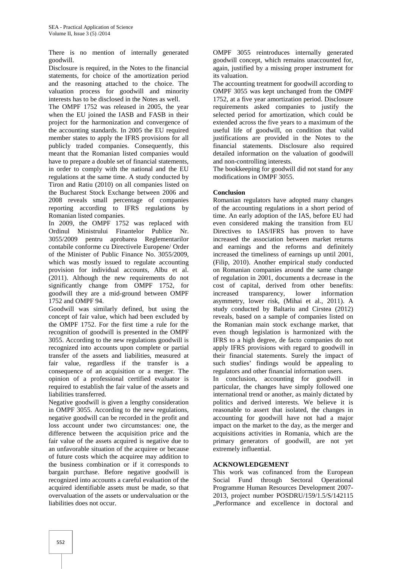There is no mention of internally generated goodwill.

Disclosure is required, in the Notes to the financial statements, for choice of the amortization period and the reasoning attached to the choice. The valuation process for goodwill and minority interests has to be disclosed in the Notes as well.

The OMPF 1752 was released in 2005, the year when the EU joined the IASB and FASB in their project for the harmonization and convergence of the accounting standards. In 2005 the EU required member states to apply the IFRS provisions for all publicly traded companies. Consequently, this meant that the Romanian listed companies would have to prepare a double set of financial statements, in order to comply with the national and the EU regulations at the same time. A study conducted by Tiron and Ratiu (2010) on all companies listed on the Bucharest Stock Exchange between 2006 and 2008 reveals small percentage of companies reporting according to IFRS regulations by Romanian listed companies.

In 2009, the OMPF 1752 was replaced with Ordinul Ministrului Finantelor Publice Nr. 3055/2009 pentru aprobarea Reglementarilor contabile conforme cu Directivele Europene/ Order of the Minister of Public Finance No. 3055/2009, which was mostly issued to regulate accounting provision for individual accounts, Albu et al. (2011). Although the new requirements do not significantly change from OMPF 1752, for goodwill they are a mid-ground between OMPF 1752 and OMPF 94.

Goodwill was similarly defined, but using the concept of fair value, which had been excluded by the OMPF 1752. For the first time a rule for the recognition of goodwill is presented in the OMPF 3055. According to the new regulations goodwill is recognized into accounts upon complete or partial transfer of the assets and liabilities, measured at fair value, regardless if the transfer is a consequence of an acquisition or a merger. The opinion of a professional certified evaluator is required to establish the fair value of the assets and liabilities transferred.

Negative goodwill is given a lengthy consideration in OMPF 3055. According to the new regulations, negative goodwill can be recorded in the profit and loss account under two circumstances: one, the difference between the acquisition price and the fair value of the assets acquired is negative due to an unfavorable situation of the acquiree or because of future costs which the acquiree may addition to the business combination or if it corresponds to bargain purchase. Before negative goodwill is recognized into accounts a careful evaluation of the acquired identifiable assets must be made, so that overvaluation of the assets or undervaluation or the liabilities does not occur.

OMPF 3055 reintroduces internally generated goodwill concept, which remains unaccounted for, again, justified by a missing proper instrument for its valuation.

The accounting treatment for goodwill according to OMPF 3055 was kept unchanged from the OMPF 1752, at a five year amortization period. Disclosure requirements asked companies to justify the selected period for amortization, which could be extended across the five years to a maximum of the useful life of goodwill, on condition that valid justifications are provided in the Notes to the financial statements. Disclosure also required detailed information on the valuation of goodwill and non-controlling interests.

The bookkeeping for goodwill did not stand for any modifications in OMPF 3055.

# **Conclusion**

Romanian regulators have adopted many changes of the accounting regulations in a short period of time. An early adoption of the IAS, before EU had even considered making the transition from EU Directives to IAS/IFRS has proven to have increased the association between market returns and earnings and the reforms and definitely increased the timeliness of earnings up until 2001, (Filip, 2010). Another empirical study conducted on Romanian companies around the same change of regulation in 2001, documents a decrease in the cost of capital, derived from other benefits: transparency, lower information asymmetry, lower risk, (Mihai et al., 2011). A study conducted by Baltariu and Cirstea (2012) reveals, based on a sample of companies listed on the Romanian main stock exchange market, that even though legislation is harmonized with the IFRS to a high degree, de facto companies do not apply IFRS provisions with regard to goodwill in their financial statements. Surely the impact of such studies' findings would be appealing to regulators and other financial information users.

In conclusion, accounting for goodwill in particular, the changes have simply followed one international trend or another, as mainly dictated by politics and derived interests. We believe it is reasonable to assert that isolated, the changes in accounting for goodwill have not had a major impact on the market to the day, as the merger and acquisitions activities in Romania, which are the primary generators of goodwill, are not yet extremely influential.

#### **ACKNOWLEDGEMENT**

This work was cofinanced from the European Social Fund through Sectoral Operational Programme Human Resources Development 2007- 2013, project number POSDRU/159/1.5/S/142115 "Performance and excellence in doctoral and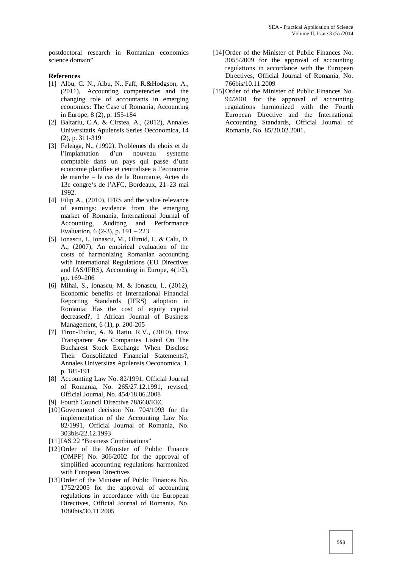postdoctoral research in Romanian economics science domain"

#### **References**

- [1] Albu, C. N., Albu, N., Faff, R.&Hodgson, A., (2011), Accounting competencies and the changing role of accountants in emerging economies: The Case of Romania, Accounting in Europe, 8 (2), p. 155-184
- [2] Baltariu, C.A. & Cirstea, A., (2012), Annales Universitatis Apulensis Series Oeconomica, 14 (2), p. 311-319
- [3] Feleaga, N., (1992), Problemes du choix et de l'implantation d'un nouveau systeme comptable dans un pays qui passe d'une economie planifiee et centralisee a l'economie de marche – le cas de la Roumanie, Actes du 13e congre`s de l'AFC, Bordeaux, 21–23 mai 1992.
- [4] Filip A., (2010), IFRS and the value relevance of earnings: evidence from the emerging market of Romania, International Journal of Accounting, Auditing and Performance Evaluation, 6 (2-3), p. 191 – 223
- [5] Ionascu, I., Ionascu, M., Olimid, L. & Calu, D. A., (2007), An empirical evaluation of the costs of harmonizing Romanian accounting with International Regulations (EU Directives and IAS/IFRS), Accounting in Europe, 4(1/2), pp. 169–206
- [6] Mihai, S., Ionascu, M. & Ionascu, I., (2012), Economic benefits of International Financial Reporting Standards (IFRS) adoption in Romania: Has the cost of equity capital decreased?, I African Journal of Business Management, 6 (1), p. 200-205
- [7] Tiron-Tudor, A. & Ratiu, R.V., (2010), How Transparent Are Companies Listed On The Bucharest Stock Exchange When Disclose Their Consolidated Financial Statements?, Annales Universitas Apulensis Oeconomica, 1, p. 185-191
- [8] Accounting Law No. 82/1991, Official Journal of Romania, No. 265/27.12.1991, revised, Official Journal, No. 454/18.06.2008
- [9] Fourth Council Directive 78/660/EEC
- [10]Government decision No. 704/1993 for the implementation of the Accounting Law No. 82/1991, Official Journal of Romania, No. 303bis/22.12.1993
- [11] IAS 22 "Business Combinations"
- [12] Order of the Minister of Public Finance (OMPF) No. 306/2002 for the approval of simplified accounting regulations harmonized with European Directives
- [13] Order of the Minister of Public Finances No. 1752/2005 for the approval of accounting regulations in accordance with the European Directives, Official Journal of Romania, No. 1080bis/30.11.2005
- [14]Order of the Minister of Public Finances No. 3055/2009 for the approval of accounting regulations in accordance with the European Directives, Official Journal of Romania, No. 766bis/10.11.2009
- [15] Order of the Minister of Public Finances No. 94/2001 for the approval of accounting regulations harmonized with the Fourth European Directive and the International Accounting Standards, Official Journal of Romania, No. 85/20.02.2001.